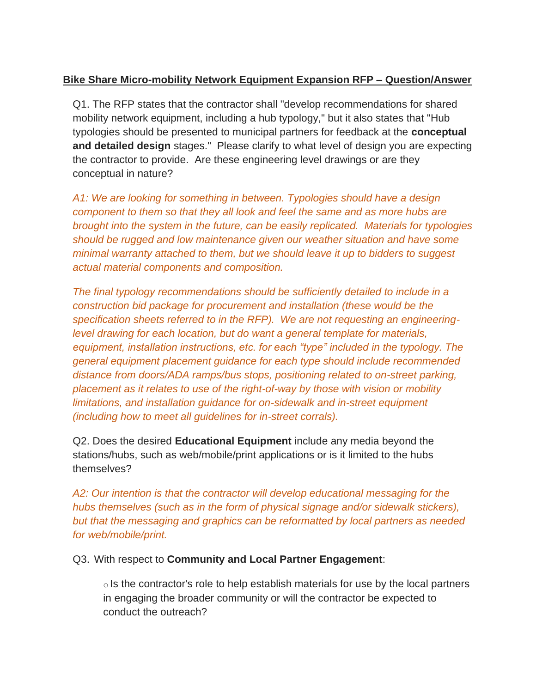## **Bike Share Micro-mobility Network Equipment Expansion RFP – Question/Answer**

Q1. The RFP states that the contractor shall "develop recommendations for shared mobility network equipment, including a hub typology," but it also states that "Hub typologies should be presented to municipal partners for feedback at the **conceptual and detailed design** stages." Please clarify to what level of design you are expecting the contractor to provide. Are these engineering level drawings or are they conceptual in nature?

*A1: We are looking for something in between. Typologies should have a design component to them so that they all look and feel the same and as more hubs are brought into the system in the future, can be easily replicated. Materials for typologies should be rugged and low maintenance given our weather situation and have some minimal warranty attached to them, but we should leave it up to bidders to suggest actual material components and composition.*

*The final typology recommendations should be sufficiently detailed to include in a construction bid package for procurement and installation (these would be the specification sheets referred to in the RFP). We are not requesting an engineeringlevel drawing for each location, but do want a general template for materials, equipment, installation instructions, etc. for each "type" included in the typology. The general equipment placement guidance for each type should include recommended distance from doors/ADA ramps/bus stops, positioning related to on-street parking, placement as it relates to use of the right-of-way by those with vision or mobility limitations, and installation guidance for on-sidewalk and in-street equipment (including how to meet all guidelines for in-street corrals).*

Q2. Does the desired **Educational Equipment** include any media beyond the stations/hubs, such as web/mobile/print applications or is it limited to the hubs themselves?

*A2: Our intention is that the contractor will develop educational messaging for the hubs themselves (such as in the form of physical signage and/or sidewalk stickers), but that the messaging and graphics can be reformatted by local partners as needed for web/mobile/print.*

Q3. With respect to **Community and Local Partner Engagement**:

 $\circ$  Is the contractor's role to help establish materials for use by the local partners in engaging the broader community or will the contractor be expected to conduct the outreach?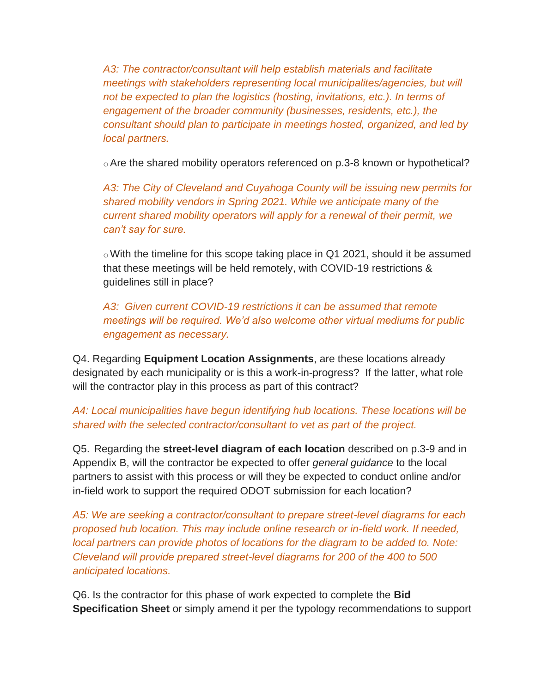*A3: The contractor/consultant will help establish materials and facilitate meetings with stakeholders representing local municipalites/agencies, but will* not be expected to plan the logistics (hosting, invitations, etc.). In terms of *engagement of the broader community (businesses, residents, etc.), the consultant should plan to participate in meetings hosted, organized, and led by local partners.*

oAre the shared mobility operators referenced on p.3-8 known or hypothetical?

*A3: The City of Cleveland and Cuyahoga County will be issuing new permits for shared mobility vendors in Spring 2021. While we anticipate many of the current shared mobility operators will apply for a renewal of their permit, we can't say for sure.*

 $\circ$  With the timeline for this scope taking place in Q1 2021, should it be assumed that these meetings will be held remotely, with COVID-19 restrictions & guidelines still in place?

*A3: Given current COVID-19 restrictions it can be assumed that remote meetings will be required. We'd also welcome other virtual mediums for public engagement as necessary.*

Q4. Regarding **Equipment Location Assignments**, are these locations already designated by each municipality or is this a work-in-progress? If the latter, what role will the contractor play in this process as part of this contract?

*A4: Local municipalities have begun identifying hub locations. These locations will be shared with the selected contractor/consultant to vet as part of the project.*

Q5. Regarding the **street-level diagram of each location** described on p.3-9 and in Appendix B, will the contractor be expected to offer *general guidance* to the local partners to assist with this process or will they be expected to conduct online and/or in-field work to support the required ODOT submission for each location?

*A5: We are seeking a contractor/consultant to prepare street-level diagrams for each proposed hub location. This may include online research or in-field work. If needed, local partners can provide photos of locations for the diagram to be added to. Note: Cleveland will provide prepared street-level diagrams for 200 of the 400 to 500 anticipated locations.*

Q6. Is the contractor for this phase of work expected to complete the **Bid Specification Sheet** or simply amend it per the typology recommendations to support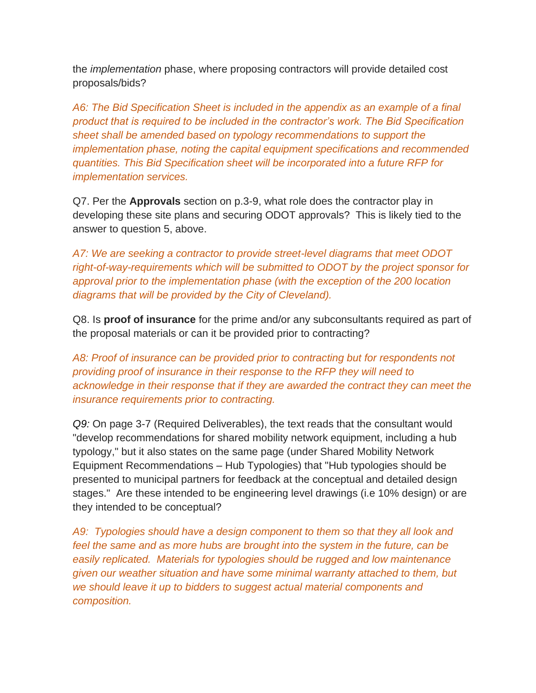the *implementation* phase, where proposing contractors will provide detailed cost proposals/bids?

*A6: The Bid Specification Sheet is included in the appendix as an example of a final product that is required to be included in the contractor's work. The Bid Specification sheet shall be amended based on typology recommendations to support the implementation phase, noting the capital equipment specifications and recommended quantities. This Bid Specification sheet will be incorporated into a future RFP for implementation services.*

Q7. Per the **Approvals** section on p.3-9, what role does the contractor play in developing these site plans and securing ODOT approvals? This is likely tied to the answer to question 5, above.

*A7: We are seeking a contractor to provide street-level diagrams that meet ODOT right-of-way-requirements which will be submitted to ODOT by the project sponsor for approval prior to the implementation phase (with the exception of the 200 location diagrams that will be provided by the City of Cleveland).* 

Q8. Is **proof of insurance** for the prime and/or any subconsultants required as part of the proposal materials or can it be provided prior to contracting?

*A8: Proof of insurance can be provided prior to contracting but for respondents not providing proof of insurance in their response to the RFP they will need to acknowledge in their response that if they are awarded the contract they can meet the insurance requirements prior to contracting.* 

*Q9:* On page 3-7 (Required Deliverables), the text reads that the consultant would "develop recommendations for shared mobility network equipment, including a hub typology," but it also states on the same page (under Shared Mobility Network Equipment Recommendations – Hub Typologies) that "Hub typologies should be presented to municipal partners for feedback at the conceptual and detailed design stages." Are these intended to be engineering level drawings (i.e 10% design) or are they intended to be conceptual?

*A9: Typologies should have a design component to them so that they all look and feel the same and as more hubs are brought into the system in the future, can be easily replicated. Materials for typologies should be rugged and low maintenance given our weather situation and have some minimal warranty attached to them, but we should leave it up to bidders to suggest actual material components and composition.*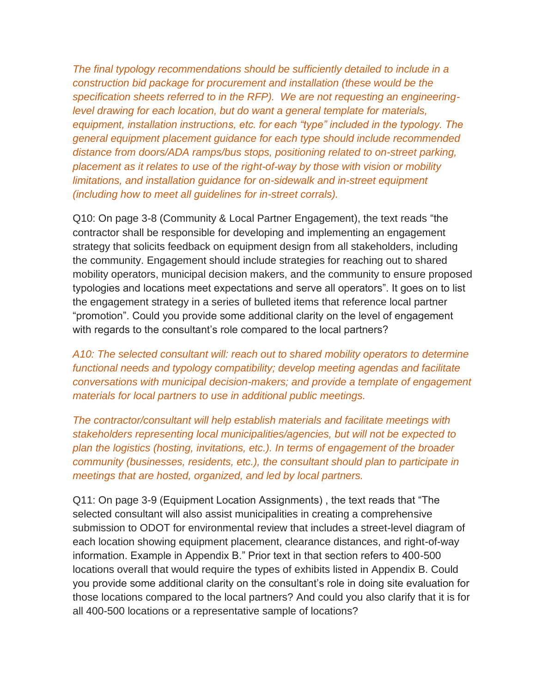*The final typology recommendations should be sufficiently detailed to include in a construction bid package for procurement and installation (these would be the specification sheets referred to in the RFP). We are not requesting an engineeringlevel drawing for each location, but do want a general template for materials, equipment, installation instructions, etc. for each "type" included in the typology. The general equipment placement guidance for each type should include recommended distance from doors/ADA ramps/bus stops, positioning related to on-street parking, placement as it relates to use of the right-of-way by those with vision or mobility limitations, and installation guidance for on-sidewalk and in-street equipment (including how to meet all guidelines for in-street corrals).*

Q10: On page 3-8 (Community & Local Partner Engagement), the text reads "the contractor shall be responsible for developing and implementing an engagement strategy that solicits feedback on equipment design from all stakeholders, including the community. Engagement should include strategies for reaching out to shared mobility operators, municipal decision makers, and the community to ensure proposed typologies and locations meet expectations and serve all operators". It goes on to list the engagement strategy in a series of bulleted items that reference local partner "promotion". Could you provide some additional clarity on the level of engagement with regards to the consultant's role compared to the local partners?

*A10: The selected consultant will: reach out to shared mobility operators to determine functional needs and typology compatibility; develop meeting agendas and facilitate conversations with municipal decision-makers; and provide a template of engagement materials for local partners to use in additional public meetings.* 

*The contractor/consultant will help establish materials and facilitate meetings with stakeholders representing local municipalities/agencies, but will not be expected to plan the logistics (hosting, invitations, etc.). In terms of engagement of the broader community (businesses, residents, etc.), the consultant should plan to participate in meetings that are hosted, organized, and led by local partners.*

Q11: On page 3-9 (Equipment Location Assignments) , the text reads that "The selected consultant will also assist municipalities in creating a comprehensive submission to ODOT for environmental review that includes a street-level diagram of each location showing equipment placement, clearance distances, and right-of-way information. Example in Appendix B." Prior text in that section refers to 400-500 locations overall that would require the types of exhibits listed in Appendix B. Could you provide some additional clarity on the consultant's role in doing site evaluation for those locations compared to the local partners? And could you also clarify that it is for all 400-500 locations or a representative sample of locations?